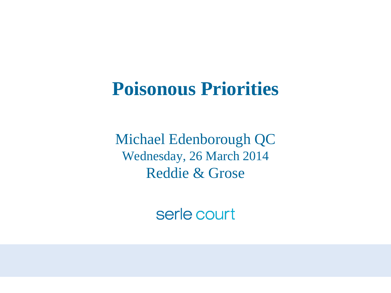### **Poisonous Priorities**

Michael Edenborough QC Wednesday, 26 March 2014 Reddie & Grose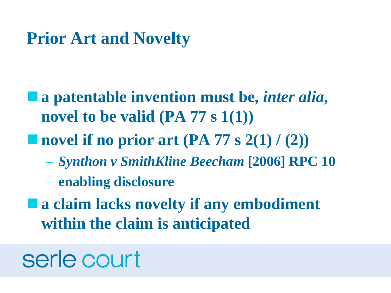#### **Prior Art and Novelty**

- **a patentable invention must be,** *inter alia***, novel to be valid (PA 77 s 1(1))**
- **novel if no prior art (PA 77 s 2(1) / (2)**)
	- *Synthon v SmithKline Beecham* **[2006] RPC 10**
	- **enabling disclosure**
- **a claim lacks novelty if any embodiment within the claim is anticipated**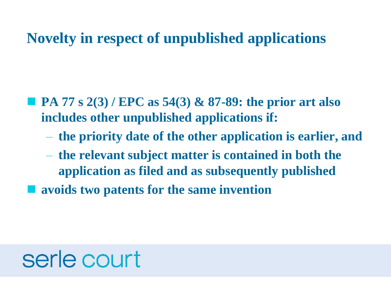#### **Novelty in respect of unpublished applications**

- **PA 77 s 2(3) / EPC as 54(3) & 87-89: the prior art also includes other unpublished applications if:**
	- **the priority date of the other application is earlier, and**
	- **the relevant subject matter is contained in both the application as filed and as subsequently published**
- **avoids two patents for the same invention**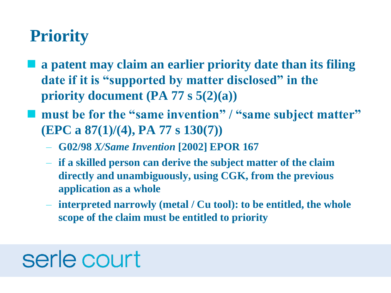#### **Priority**

- **a patent may claim an earlier priority date than its filing date if it is "supported by matter disclosed" in the priority document (PA 77 s 5(2)(a))**
- must be for the "same invention" / "same subject matter" **(EPC a 87(1)/(4), PA 77 s 130(7))**
	- **G02/98** *X/Same Invention* **[2002] EPOR 167**
	- **if a skilled person can derive the subject matter of the claim directly and unambiguously, using CGK, from the previous application as a whole**
	- **interpreted narrowly (metal / Cu tool): to be entitled, the whole scope of the claim must be entitled to priority**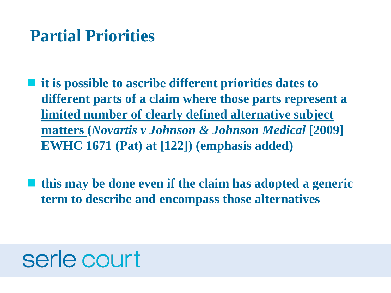#### **Partial Priorities**

- **it is possible to ascribe different priorities dates to different parts of a claim where those parts represent a limited number of clearly defined alternative subject matters (***Novartis v Johnson & Johnson Medical* **[2009] EWHC 1671 (Pat) at [122]) (emphasis added)**
- **this may be done even if the claim has adopted a generic term to describe and encompass those alternatives**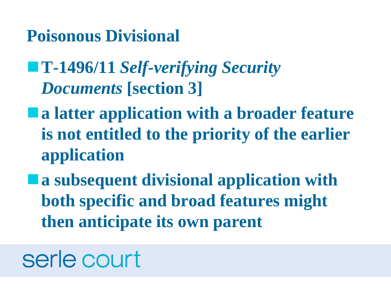#### **Poisonous Divisional**

### **T-1496/11** *Self-verifying Security Documents* **[section 3]**

- **a latter application with a broader feature is not entitled to the priority of the earlier application**
- **a subsequent divisional application with both specific and broad features might then anticipate its own parent**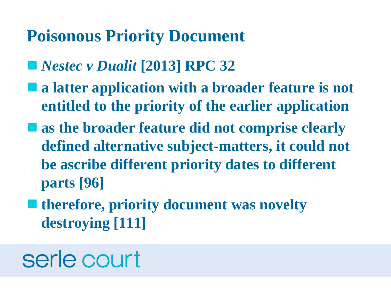#### **Poisonous Priority Document**

- *Nestec v Dualit* **[2013] RPC 32**
- a latter application with a broader feature is not **entitled to the priority of the earlier application**
- as the broader feature did not comprise clearly **defined alternative subject-matters, it could not be ascribe different priority dates to different parts [96]**
- **therefore, priority document was novelty destroying [111]**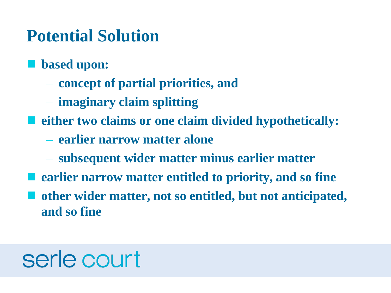#### **Potential Solution**

- **based upon:**
	- **concept of partial priorities, and**
	- **imaginary claim splitting**
- **either two claims or one claim divided hypothetically:**
	- **earlier narrow matter alone**
	- **subsequent wider matter minus earlier matter**
- **earlier narrow matter entitled to priority, and so fine**
- **other wider matter, not so entitled, but not anticipated, and so fine**